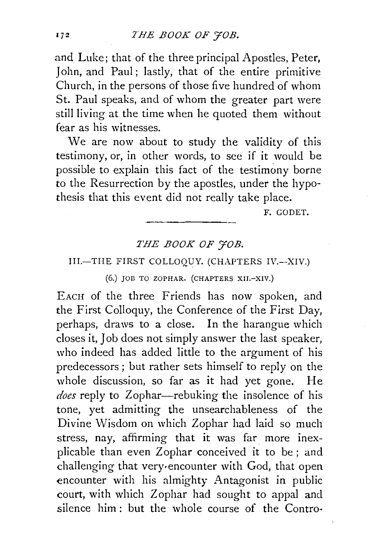and Luke; that of the three principal Apostles, Peter, John, and Paul; lastly, that of the entire primitive Church, in the persons of those five hundred of whom St. Paul speaks, and of whom the greater part were still living at the time when he quoted them without fear as his witnesses.

We are now about to study the validity of this testimony, or, in other words, to see if it would be possible to explain this fact of the testimony borne to the Resurrection by the apostles, under the hypothesis that this event did not really take place.

F. GODET.

### *THE BOOK OF 'JOB.*

### III.-THE FIRST COLLOQUY. (CHAPTERS IV.-XIV.)

(6.) JOB TO ZOPHAR. (CHAPTERS XII.-XIV.)

EAcH of the three Friends has now spoken, and the First Colloquy, the Conference of the First Day, perhaps, draws to a close. In the harangue which closes it, Job does not simply answer the last speaker, who indeed has added little to the argument of his predecessors ; but rather sets himself to reply on the whole discussion, so far as it had yet gone. He *does* reply to Zophar-rebuking the insolence of his tone, yet admitting the unsearchableness of the Divine Wisdom on which Zophar had laid so much stress, nay, affirming that it was far more inexplicable than even Zophar conceived it to be; and challenging that very·encounter with God, that open encounter with his almighty Antagonist in public court, with which Zophar had sought to appal and silence him: but the whole course of the Contro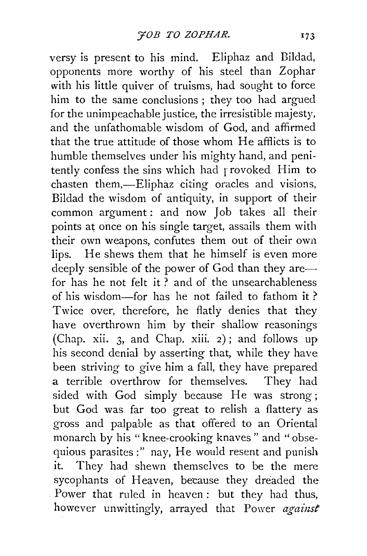versy is present to his mind. Eliphaz and Bildad, opponents more worthy of his steel than Zophar with his little quiver of truisms, had sought to force him to the same conclusions ; they too had argued for the unimpeachable justice, the irresistible majesty, and the unfathomable wisdom of God, and affirmed that the true attitude of those whom He afflicts is to humble themselves under his mighty hand, and penitently confess the sins which had rrovoked Him to chasten them,-Eliphaz citing oracles and visions, Bildad the wisdom of antiquity, in support of their common argument : and now Job takes all their points at once on his single target, assails them with their own weapons, confutes them out of their own lips. He shews them that he himself is even more deeply sensible of the power of God than they arefor has he not felt it  $\overline{2}$  and of the unsearchableness of his wisdom-for has he not failed to fathom it? Twice over, therefore, he flatly denies that they have overthrown him by their shallow reasonings (Chap. xii. 3, and Chap. xiii. 2); and follows up his second denial by asserting that, while they have been striving to give him a fall, they have prepared<br>a terrible overthrow for themselves. They had a terrible overthrow for themselves. sided with God simply because He was strong; but God was far too great to relish a flattery as gross and palpable as that offered to an Oriental monarch by his "knee-crooking knaves" and "obsequious parasites:" nay, He would resent and punish it. They had shewn themselves to be the mere sycophants of Heaven, because they dreaded the Power that ruled in heaven: but they had thus, however unwittingly, arrayed that Power *against*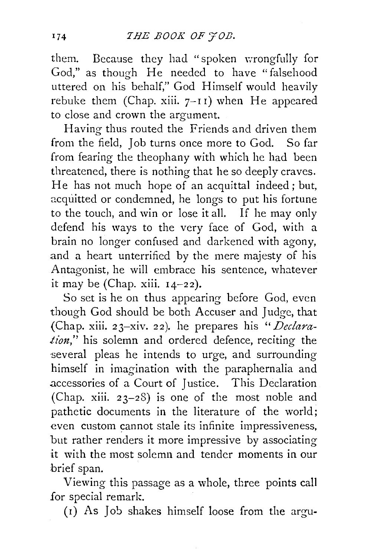them. Because they had "spoken wrongfully for God," as though He needed to have "falsehood uttered on his behalf," God Himself would heavily rebuke them (Chap. xiii.  $7-11$ ) when He appeared to close and crown the argument.

Having thus routed the Friends and driven them from the field, Job turns once more to God. So far from fearing the theophany with which he had been threatened, there is nothing that he so deeply craves. He has not much hope of an acquittal indeed; but, acquitted or condemned, he longs to put his fortune to the touch, and win or lose it all. If he may only defend his ways to the very face of God, with a brain no longer confused and darkened with agony, and a heart unterrified by the mere majesty of his Antagonist, he will embrace his sentence, whatever it may be (Chap. xiii.  $14-22$ ).

So set is he on thus appearing before God, even though God should be both Accuser and Judge, that {Chap. xiii. 23-xiv. 22). he prepares his '' *Declaration,"* his solemn and ordered defence, reciting the several pleas he intends to urge, and surrounding himself in imagination with the paraphernalia and .accessories of a Court of Justice. This Declaration (Chap. xiii. 23-28) is one of the most noble and pathetic documents in the literature of the world; even custom cannot stale its infinite impressiveness, but rather renders it more impressive by associating it with the most solemn and tender moments in our brief span.

Viewing this passage as a whole, three points call .for special remark.

 $(r)$  As Job shakes himself loose from the argu-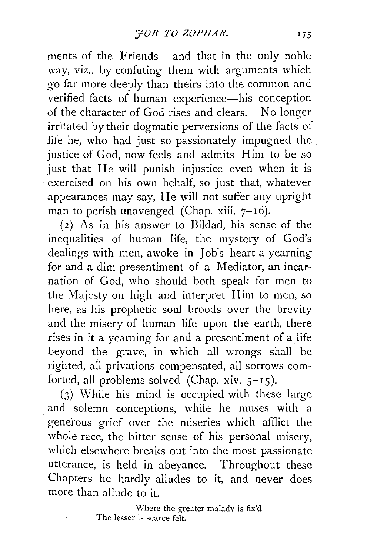ments of the Friends- and that in the only noble way, viz., by confuting them with arguments which go far more deeply than theirs into the common and verified facts of human experience-his conception of the character of God rises and clears. No longer irritated by their dogmatic perversions of the facts of life he, who had just so passionately impugned the . justice of God, now feels and admits Him to be so just that He will punish injustice even when it is exercised on his own behalf, so just that, whatever appearances may say, He will not suffer any upright man to perish unavenged (Chap. xiii.  $7-16$ ).

( 2) As in his answer to Bildad, his sense of the inequalities of human life, the mystery of God's dealings with men, awoke in Job's heart a yearning for and a dim presentiment of a Mediator, an incarnation of God, who should both speak for men to the Majesty on high and interpret Him to men, so here, as his prophetic soul broods over the brevity and the misery of human life upon the earth, there rises in it a yearning for and a presentiment of a life beyond the grave, in which all wrongs shall be righted, all privations compensated, all sorrows comforted, all problems solved (Chap. xiv.  $5-15$ ).

 $(3)$  While his mind is occupied with these large and solemn conceptions, while he muses with a generous grief over the miseries which afflict the whole race, the bitter sense of his personal misery, which elsewhere breaks out into the most passionate utterance, is held in abeyance. Throughout these Chapters he hardly alludes to it, and never does more than allude to it.

> Where the greater malady is fix'd The lesser is scarce felt.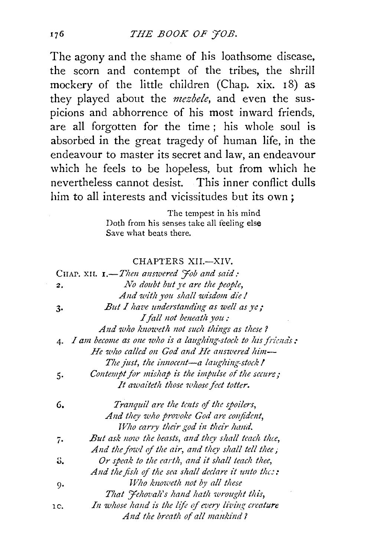The agony and the shame of his loathsome disease, the scorn and contempt of the tribes, the shrill mockery of the little children (Chap. xix. 18) as they played about the *mezbele*, and even the suspicions and abhorrence of his most inward friends, are all forgotten for the time; his whole soul is absorbed in the great tragedy of human life, in the endeavour to master its secret and law, an endeavour which he feels to be hopeless, but from which he nevertheless cannot desist. This inner conflict dulls him to all interests and vicissitudes but its own;

> The tempest in his mind Doth from his senses take all feeling else Save what beats there.

#### CHAPTERS XII.-XIV.

|     | CHAP. XII. 1.-Then answered Job and said:                     |
|-----|---------------------------------------------------------------|
| 2.  | No doubt but ye are the people,                               |
|     | And with you shall wisdom die!                                |
| 3.  | But I have understanding as well as ye;                       |
|     | I fall not beneath you:                                       |
|     | And who knoweth not such things as these?                     |
|     | 4. I am become as one who is a laughing-stock to his friends: |
|     | He who called on God and He answered him-                     |
|     | The just, the innocent-a laughing-stock!                      |
| 5.  | Contempt for mishap is the impulse of the secure;             |
|     | It awaiteth those whose feet totter.                          |
| 6.  | Tranguil are the tents of the spoilers,                       |
|     | And they who provoke God are confident,                       |
|     | Who carry their god in their hand.                            |
| 7.  | But ask now the beasts, and they shall teach thee,            |
|     | And the fowl of the air, and they shall tell thee,            |
| 8.  | Or speak to the earth, and it shall teach thee,               |
|     | And the fish of the sea shall declare it unto thee:           |
| g.  | Who knoweth not by all these                                  |
|     | That <i>Hehovah's hand hath</i> wrought this,                 |
| 1c. | In whose hand is the life of every living creature            |
|     | And the breath of all mankind?                                |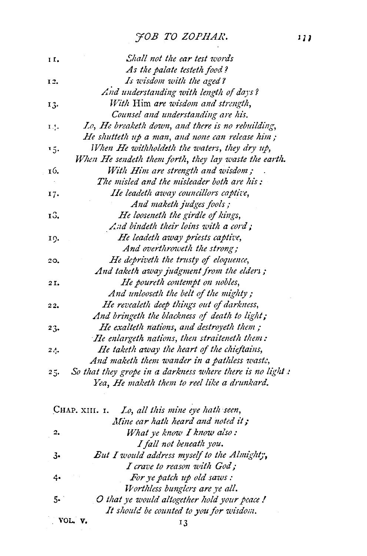# FOB TO ZOPHAR.

| II. | Shall not the ear test words                              |
|-----|-----------------------------------------------------------|
|     | As the palate testeth food?                               |
| 12. | Is wisdom with the aged?                                  |
|     | And understanding with length of days?                    |
| 13. | With Him are wisdom and strength,                         |
|     | Counsel and understanding are his.                        |
| 14. | Lo, He breaketh down, and there is no rebuilding,         |
|     | He shutteth up a man, and none can release him;           |
| 15. | When He withholdeth the waters, they dry up,              |
|     | When He sendeth them forth, they lay waste the earth.     |
| 16. | With Him are strength and wisdom;                         |
|     | The misled and the misleader both are his:                |
| 17. | He leadeth away councillors captive,                      |
|     | And maketh judges fools;                                  |
| 13. | He looseneth the girdle of kings,                         |
|     | And bindeth their loins with a cord;                      |
| 10. | He leadeth away priests captive,                          |
|     | And overthroweth the strong;                              |
| 20. | He depriveth the trusty of eloquence,                     |
|     | And taketh away judgment from the elders;                 |
| 2I, | He poureth contempt on nobles,                            |
|     | And unlooseth the belt of the mighty;                     |
| 22. | He revealeth deep things out of darkness,                 |
|     | And bringeth the blackness of death to light;             |
| 23. | He exalteth nations, and destroyeth them;                 |
|     | He enlargeth nations, then straiteneth them:              |
| 24. | He taketh away the heart of the chieftains,               |
|     | And maketh them wander in a pathless waste,               |
| 25. | So that they grope in a darkness where there is no light: |
|     | Yea, He maketh them to reel like a drunkard.              |

| 2.      | What ye know I know also:                   |
|---------|---------------------------------------------|
|         | I fall not beneath you.                     |
| 3.      | But I would address myself to the Almighty, |
|         | I crave to reason with God;                 |
| 4.      | For ye patch up old saws:                   |
|         | Worthless bunglers are ye all.              |
| 5.      | O that ye would altogether hold your peace! |
|         | It should be counted to you for wisdom.     |
| VOL. V. | 13                                          |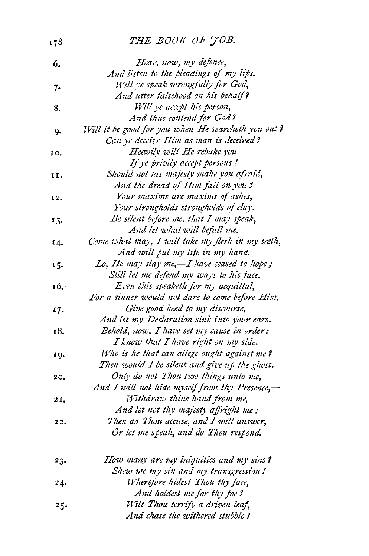## THE BOOK OF JOB.

178

| 6.     | Hear, now, my defence,                              |
|--------|-----------------------------------------------------|
|        | And listen to the pleadings of my lips.             |
| 7.     | Will ye speak wrongfully for God,                   |
|        | And utter falsehood on his behalf?                  |
| 8.     | Will ye accept his person,                          |
|        | And thus contend for God?                           |
| 9.     | Will it be good for you when He searcheth you out ? |
|        | Can ye deceive Him as man is deceived?              |
| 10.    | Heavily will He rebuke you                          |
|        | If ye privily accept persons!                       |
| 11.    | Should not his majesty make you afraid,             |
|        | And the dread of Him fall on you?                   |
| 12.    | Your maxims are maxims of ashes,                    |
|        | Your strongholds strongholds of clay.               |
| 13.    | Be silent before me, that I may speak,              |
|        | And let what will befall me.                        |
| 14.    | Come what may, I will take my flesh in my teeth,    |
|        | And will put my life in my hand.                    |
| 15.    | Lo, He may slay me,-I have ceased to hope;          |
|        | Still let me defend my ways to his face.            |
| 16.    | Even this speaketh for my acquittal,                |
|        | For a sinner would not dare to come before Him.     |
| 17.    | Give good heed to my discourse,                     |
|        | And let my Declaration sink into your ears.         |
| 18.    | Behold, now, I have set my cause in order:          |
|        | I know that I have right on my side.                |
| 19.    | Who is he that can allege ought against me?         |
|        | Then would I be silent and give up the ghost.       |
| 20.    | Only do not Thou two things unto me,                |
|        | And I will not hide myself from thy Presence,-      |
| 21.    | Withdraw thine hand from me,                        |
|        | And let not thy majesty affright me;                |
| 22.    | Then do Thou accuse, and I will answer,             |
|        | Or let me speak, and do Thou respond.               |
| 23.    | How many are my iniquities and my sins?             |
|        | Shew me my sin and my transgression!                |
| 24.    | Wherefore hidest Thou thy face,                     |
|        | And holdest me for thy foe?                         |
| $25 -$ | Wilt Thou terrify a driven leaf,                    |
|        | And chase the withered stubble ?                    |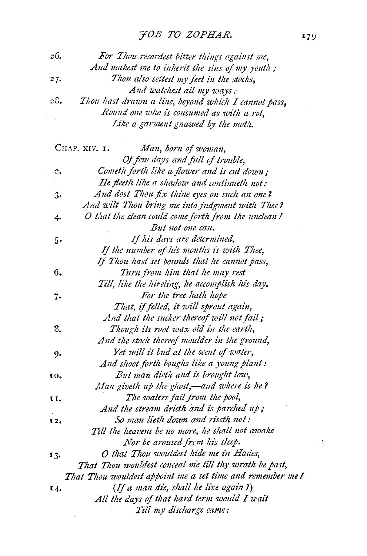| 26. | For Thou recordest bitter things against me,               |
|-----|------------------------------------------------------------|
|     | And makest me to inherit the sins of my youth;             |
| 27. | Thou also settest my feet in the stocks,                   |
|     | And watchest all my ways:                                  |
| 28. | Thou hast drawn a line, beyond which I cannot pass,        |
|     | Round one who is consumed as with a rot,                   |
|     | Like a garment gnawed by the moth.                         |
|     | CHAP. XIV. 1.<br>Man, born of woman,                       |
|     | Of few days and full of trouble,                           |
| 2.  | Cometh forth like a flower and is cut down;                |
|     | He fleeth like a shadow and continueth not:                |
| 3.  | And dost Thou fix thine eyes on such an one?               |
|     | And wilt Thou bring me into judgment with Thee?            |
| 4.  | O that the clean could come forth from the unclean!        |
|     | But not one can.                                           |
| 5.  | If his days are detcrmined,                                |
|     | If the number of his months is with Thee,                  |
|     | If Thou hast set bounds that he cannot pass,               |
| 6.  | Turn from him that he may rest                             |
|     | Till, like the hireling, he accomplish his day.            |
| 7.  | For the tree hath hope                                     |
|     | That, if felled, it will sprout again,                     |
|     | And that the sucker thereof will not fail;                 |
| 8.  | Though its root wax old in the earth,                      |
|     | And the stock thereof moulder in the ground,               |
| 9.  | Yet will it bud at the scent of water,                     |
|     | And shoot forth boughs like a young plant:                 |
| 10. | But man dieth and is brought low,                          |
|     | Man giveth up the ghost,—and where is he?                  |
| и.  | The waters fail from the pool,                             |
|     | And the stream drieth and is parched up;                   |
| 12. | So man lieth down and riseth not:                          |
|     | Till the heavens be no more, he shall not awake            |
|     | Nor be aroused from his sleep.                             |
| 13. | O that Thou wouldest hide me in Hades,                     |
|     | That Thou wouldest conceal me till thy wrath be past,      |
|     | That Thou wouldest appoint me a set time and remember me ! |
|     | (If a man die, shall he live again?)                       |
| 14. |                                                            |
|     | All the days of that hard term would I wait                |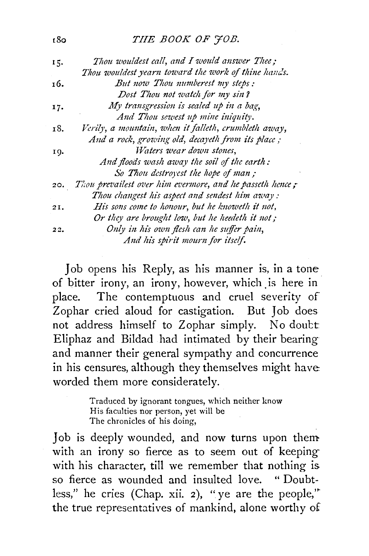### THE BOOK OF FOB.

18o

| 15. | Thou wouldest call, and I would answer Thee;                 |
|-----|--------------------------------------------------------------|
|     | Thou wouldest yearn toward the work of thine hands.          |
| 16. | But now Thou numberest my steps:                             |
|     | Dost Thou not watch for my sin?                              |
| 17. | My transgression is sealed up in a bag,                      |
|     | And Thou sewest up mine iniquity.                            |
| 18. | Verily, a mountain, when it falleth, crumbleth away,         |
|     | And a rock, growing old, decayeth from its place;            |
| 19. | Waters wear down stones.                                     |
|     | And floods wash away the soil of the earth:                  |
|     | So Thou destroyest the hope of man;                          |
|     | 20. Thou prevailest over him evermore, and he passeth hence; |
|     | Thou changest his aspect and sendest him away:               |
| 21. | His sons come to honour, but he knoweth it not,              |
|     | Or they are brought low, but he heedeth it not;              |
| 22. | Only in his own flesh can he suffer pain,                    |
|     | And his spirit mourn for itself.                             |

Job opens his Reply, as his manner is, in a tone of bitter irony, an irony, however, which is here in place. The contemptuous and cruel severity of Zophar cried aloud for castigation. But Job does not address himself to Zophar simply. No doubt Eliphaz and Bildad had intimated by their bearing and manner their general sympathy and concurrence in his censures, although they themselves might have worded them more considerately.

> Traduced by ignorant tongues, which neither know His faculties nor person, yet will be The chronicles of his doing,

Job is deeply wounded, and now turns upon them with an irony so fierce as to seem out of keeping with his character, till we remember that nothing is so fierce as wounded and insulted love. "Doubtless," he cries (Chap. xii. 2), "ye are the people," the true representatives of mankind, alone worthy of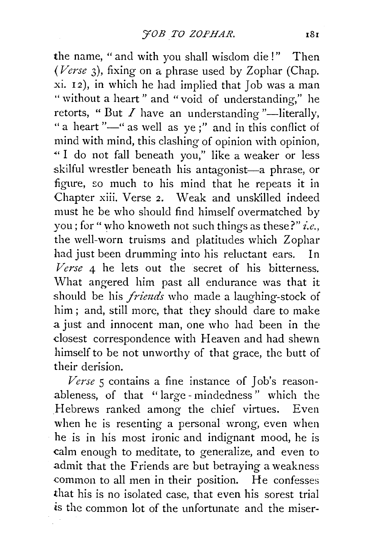the name, " and with you shall wisdom die!" Then *(Verse* 3), fixing on a phrase used by Zophar (Chap. xi. 12), in which he had implied that Job was a man " without a heart" and "void of understanding," he retorts, "But  $I$  have an understanding "-literally, "a heart"-" as well as ye;" and in this conflict of mind with mind, this clashing of opinion with opinion, "' I do not fall beneath you," like a weaker or less skilful wrestler beneath his antagonist-a phrase, or figure, so much to his mind that he repeats it in Chapter xiii. Verse *2.* Weak and unsk'illed indeed must he be who should find himself overmatched by you; for" who knoweth not such things as these?" *i.e.,*  the well-worn truisms and platitudes which Zophar had just been drumming into his reluctant ears. In *Verse* 4 he lets out the secret of his bitterness. What angered him past all endurance was that it should be his *friends* who made a laughing-stock of him ; and, still more, that they should dare to make a just and innocent man, one who had been in the dosest correspondence with Heaven and had shewn himself to be not unworthy of that grace, the butt of their derision.

*Verse* 5 contains a fine instance of Job's reasonableness, of that ''large- mindedness" which the Hebrews ranked among the chief virtues. Even when he is resenting a personal wrong, even when he is in his most ironic and indignant mood, he is calm enough to meditate, to generalize, and even to .admit that the Friends are but betraying a weakness common to all men in their position. He confesses that his is no isolated case, that even his sorest trial *is* the common lot of the unfortunate and the miser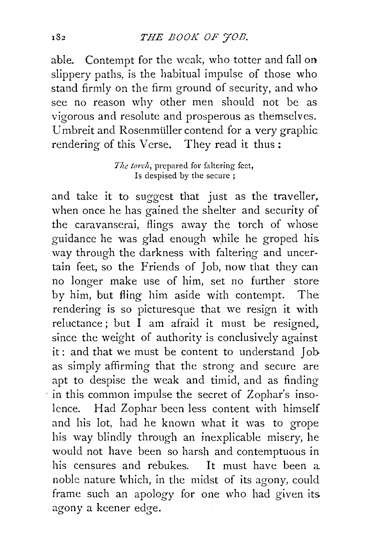able. Contempt for the weak, who totter and fall on slippery paths, is the habitual impulse of those who stand firmly on the firm ground of security, and who see no reason why other men should not be as vigorous and resolute and prosperous as themselves. Umbreit and Rosenmüller contend for a very graphic rendering of this Verse. They read it thus :

> *The torch,* prepared for faltering feet, Is despised by the secure ;

and take it to suggest that just as the traveller, when once he has gained the shelter and security of the caravanserai, flings away the torch of whose guidance he was glad enough while he groped his. way through the darkness with faltering and uncertain feet, so the Friends of Job, now that they can no longer make use of him, set no further store by him, but fling him aside with contempt. The rendering is so picturesque that we resign it with reluctance; but I am afraid it must be resigned. since the weight of authority is conclusively against it: and that we must be content to understand Job. as simply affirming that the strong and secure are apt to despise the weak and timid, and as finding · in this common impulse the secret of Zophar's insolence. Had Zophar been less content with himself and his lot, had he known what it was to grope his way blindly through an inexplicable misery, he would not have been so harsh and contemptuous in his censures and rebukes. It must have been a noble nature which, in the midst of its agony, could frame such an apology for one who had given its. agony a keener edge.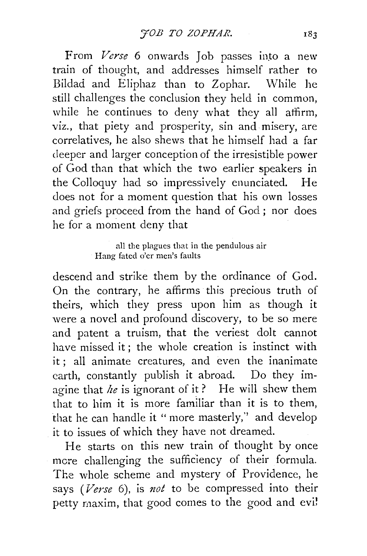From *Verse* 6 onwards Job passes into a new train of thought, and addresses himself rather to Bildad and Eliphaz than to Zophar. While he still challenges the conclusion they held in common, while he continues to deny what they all affirm, viz., that piety and prosperity, sin and misery, are correlatives, he also shews that he himself had a far deeper and larger conception of the irresistible power of God than that which the two earlier speakers in the Colloquy had so impressively enunciated. He does not for a moment question that his own losses and griefs proceed from the hand of God ; nor does he for a moment deny that

> all the plagues that in the pendulous air Hang fated o'er men's faults

descend and strike them by the ordinance of God. On the contrary, he affirms this precious truth of theirs, which they press upon him as though it were a novel and profound discovery, to be so mere and patent a truism, that the veriest dolt cannot have missed it; the whole creation is instinct with it; all animate creatures, and even the inanimate earth, constantly publish it abroad. Do they imagine that *he* is ignorant of it? He will shew them that to him it is more familiar than it is to them, that he can handle it "more masterly,'' and develop it to issues of which they have not dreamed.

He starts on this new train of thought by once mere challenging the sufficiency of their formula. The whole scheme and mystery of Providence, he says *(Verse* 6), is *not* to be compressed into their petty maxim, that good comes to the good and evi!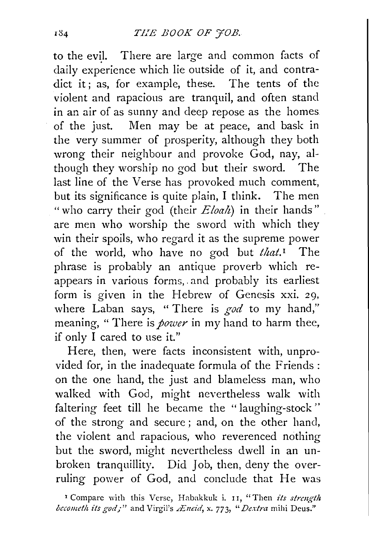to the evil. There are large and common facts of daily experience which lie outside of it, and contradict it; as, for example, these. The tents of the violent and rapacious are tranquil, and often stand in an air of as sunny and deep repose as the homes of the just. Men may be at peace, and bask in the very summer of prosperity, although they both wrong their neighbour and provoke God, nay, although they worship no god but their sword. The last line of the Verse has provoked much comment, but its significance is quite plain, I think. The men "who carry their god (their *Eloah*) in their hands" are men who worship the sword with which they win their spoils, who regard it as the supreme power of the world, who have no god but *that*.<sup>1</sup> The phrase is probably an antique proverb which reappears in various forms,. and probably its earliest form is given in the Hebrew of Genesis xxi. 29, where Laban says, "There is *god* to my hand," meaning, " There is *power* in my hand to harm thee, if only I cared to use it."

Here, then, were facts inconsistent with, unprovided for, in the inadequate formula of the Friends : on the one hand, the just and blameless man, who walked with God, might nevertheless walk with faltering feet till he became the "laughing-stock" of the strong and secure ; and, on the other hand, the violent and rapacious, who reverenced nothing but the sword, might nevertheless dwell in an unbroken tranquillity. Did Job, then, deny the overruling power of God, and conclude that He was

<sup>1</sup> Compare with this Verse, Habakkuk i. 11, "Then its strength *becometh its god;"* and Virgil's *Æneid*, x. 773, "Dextra mihi Deus."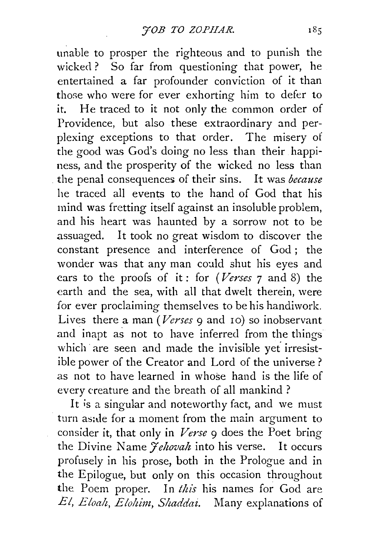unable to prosper the righteous and to punish the wicked ? So far from questioning that power, he entertained a far profounder conviction of it than those who were for ever exhorting him to defer to it. He traced to it not only the common order of Providence, but also these extraordinary and perplexing exceptions to that order. The misery of the good was God's doing no less than their happiness, and the prosperity of the wicked no less than the penal consequences of their sins. It was *because*  he traced all events to the hand of God that his mind was fretting itself against an insoluble problem, and his heart was haunted by a sorrow not to be assuaged. It took no great wisdom to discover the constant presence and interference of God ; the wonder was that any man coald shut his eyes and cars to the proofs of it : for *(Verses* 7 and 8) the earth and the sea, with all that dwelt therein, were for ever proclaiming themselves to be his handiwork. Lives there a man *(Verses* 9 and 10) so inobservant and inapt as not to have inferred from the things which are seen and made the invisible yet irresistible power of the Creator and Lord of the universe ? as not to have learned in whose hand is the life of every creature and the breath of all mankind ?

It is a singular and noteworthy fact, and we must turn as:de for a moment from the main argument to consider it, that only in *Verse* 9 does the Poet bring the Divine Name *<i>Yehovah* into his verse. It occurs profusely in his prose, both in the Prologue and in the Epilogue, but only on this occasion throughout the Poem proper. In *this* his names for God are *El, Eloalt, Eloltim, Shaddai.* Many explanations of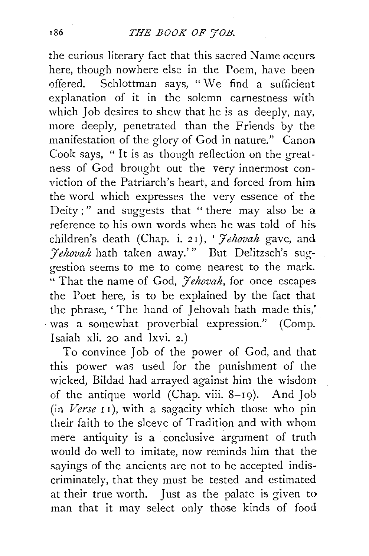### r86 *THE BOOK OF 'JOB.*

the curious literary fact that this sacred Name occurs here, though nowhere else in the Poem, have been offered. Schlottman says, "We find a sufficient explanation of it in the solemn earnestness with which Job desires to shew that he *is* as deeply, nay, more deeply, penetrated than the Friends by the manifestation of the glory of God in nature." Canon Cook says, " It is as though reflection on the greatness of God brought out the very innermost conviction of the Patriarch's heart, and forced from him the word which expresses the very essence of the Deity;" and suggests that "there may also be a reference to his own words when he was told of his children's death (Chap. i. 2 I), ' *J'chovah* gave, and *:Jehovah* hath taken away.'" But Delitzsch's suggestion seems to me to come nearest to the mark. "That the name of God, *J'ehovah,* for once escapes the Poet here, is to be explained by the fact that the phrase, 'The hand of Jehovah hath made this,' · was a somewhat proverbial expression." (Comp. Isaiah xli. 20 and lxvi. 2.)

To convince Job of the power of God, and that this power was used for the punishment of the wicked, Bildad had arrayed against him the wisdom of the antique world (Chap. viii. 8-19). And Job  $(in *Verse* 11)$ , with a sagacity which those who pin their faith to the sleeve of Tradition and with whom mere antiquity is a conclusive argument of truth would do well to imitate, now reminds him that the sayings of the ancients are not to be accepted indiscriminately, that they must be tested and estimated at their true worth. Just as the palate is given to man that it may select only those kinds of food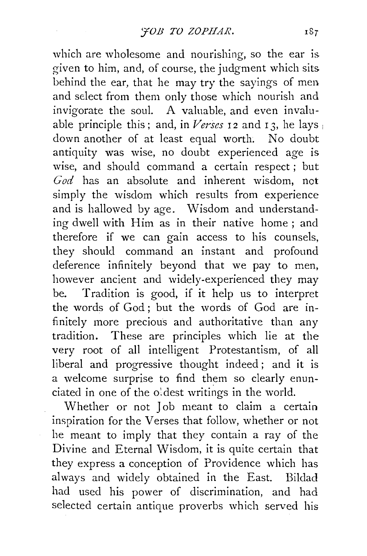which are wholesome and nourishing, so the ear is given to him, and, of course, the judgment which sits behind the ear, that he may try the sayings of men and select from them only those which nourish and invigorate the soul. A valuable, and even invaluable principle this; and, in *Verses* 12 and 13, he lays down another of at least equal worth. No doubt antiquity was wise, no doubt experienced age is wise, and should command a certain respect ; but *God* has an absolute and inherent wisdom, not simply the wisdom which results from experience and is hallowed by age. Wisdom and understanding dwell with Him as in their native home; and therefore if we can gain access to his counsels, they should command an instant and profound deference infinitely beyond that we pay to men, however ancient and widely-experienced they may be. Tradition is good, if it help us to interpret the words of God ; but the words of God are infinitely more precious and authoritative than any tradition. These are principles which lie at the very root of all intelligent Protestantism, of all liberal and progressive thought indeed; and it is a welcome surprise to find them so clearly enunciated in one of the oldest writings in the world.

Whether or not Job meant to claim a certain inspiration for the Verses that follow, whether or not he meant to imply that they contain a ray of the Divine and Eternal Wisdom, it is quite certain that they express a conception of Providence which has always and widely obtained in the East. Bildad had used his power of discrimination, and had selected certain antique proverbs which served his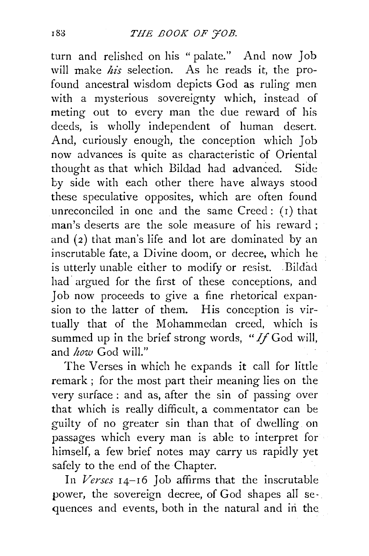turn and relished on his "palate." And now Job will make *his* selection. As he reads it, the profound ancestral wisdom depicts God as ruling men with a mysterious sovereignty which, instead of meting out to every man the due reward of his deeds, is wholly independent of human desert. And, curiously enough, the conception which Job now advances is quite as characteristic of Oriental thought as that which Bildad had advanced. Side by side with each other there have always stood these speculative opposites, which are often found unreconciled in one and the same  $Creed$ :  $(i)$  that man's deserts are the sole measure of his reward ; and (2) that man's life and lot are dominated by an inscrutable fate, a Divine doom, or decree, which he is utterly unable either to modify or resist. Bildad had argued for the first of these conceptions, and Job now proceeds to give a fine rhetorical expansion to the latter of them. His conception is virtually that of the Mohammedan creed, which is summed up in the brief strong words, "If God will, and *how* God will."

The Verses in which he expands it call for little remark ; for the most part their meaning lies on the very surface : and as, after the sin of passing over that which is really difficult, a commentator can be guilty of no greater sin than that of dwelling on passages which every man is able to interpret for himself, a few brief notes may carry us rapidly yet safely to the end of the Chapter.

In *Verses* 14-16 Job affirms that the inscrutable power, the sovereign decree, of God shapes all sequences and events, both in the natural and in the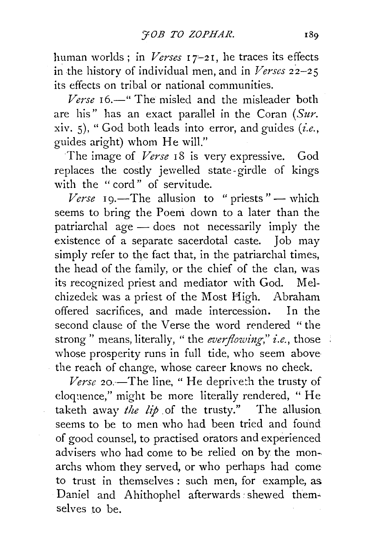human worlds; in *Verses* 17-21, he traces its effects in the history of individual men, and in *Verses*  $22-25$ its effects on tribal or national communities.

*Verse* 16.—" The misled and the misleader both are his" has an exact parallel in the Coran *(Sur.*  xiv. 5), "God both leads into error, and guides *(i.e.,*  guides aright) whom He will."

The image of *Verse* 18 is very expressive. God replaces the costly jewelled state- girdle of kings with the "cord" of servitude.

*Verse*  $I_9$ .—The allusion to " priests" — which seems to bring the Poem down to a later than the patriarchal  $\|$ ge  $-$  does not necessarily imply the existence of a separate sacerdotal caste. Job may simply refer to the fact that, in the patriarchal times, the head of the family, or the chief of the clan, was its recognized priest and mediator with God. Melchizedek was a priest of the Most High. Abraham offered sacrifices, and made intercession. In the second clause of the Verse the word rendered " the strong" means, literally, "the *everflowing*," *i.e.*, those whose prosperity runs in full tide, who seem above the reach of change, whose career knows no check.

Verse 20.—The line, "He depriveth the trusty of eloquence," might be more literally rendered, "He taketh away *the lip* of the trusty." The allusion seems to be to men who had been tried and found of good counsel, to practised orators and experienced advisers who had come to be relied on by the mon- archs whom they served, or who perhaps had come to trust in themselves : such men, for example, as. Daniel and Ahithophel afterwards shewed themselves to be.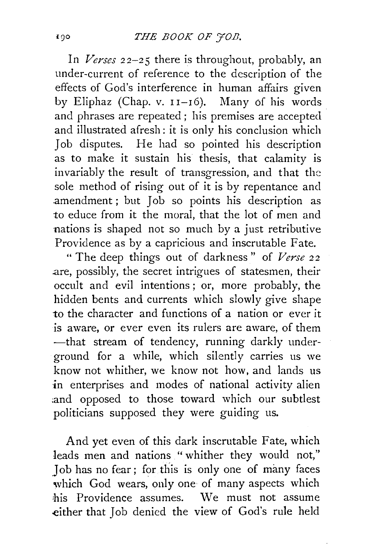In *Verses 22-25* there is throughout, probably, an under-current of reference to the description of the effects of God's interference in human affairs given by Eliphaz (Chap. v.  $11-16$ ). Many of his words and phrases are repeated ; his premises are accepted and illustrated afresh: it is only his conclusion which Job disputes. He had so pointed his description as to make it sustain his thesis, that calamity is invariably the result of transgression, and that the sole method of rising out of it is by repentance and .amendment ; but Job so points his description as to educe from it the moral, that the lot of men and nations is shaped not so much by a just retributive Providence as by a capricious and inscrutable Fate.

" The deep things out of darkness" of *Verse* 22 .are, possibly, the secret intrigues of statesmen, their occult and evil intentions ; or, more probably, the hidden bents and currents which slowly give shape to the character and functions of a nation or ever it is aware, or ever even its rulers are aware, of them -that stream of tendency, running darkly underground for a while, which silently carries us we know not whither, we know not how, and lands us in enterprises and modes of national activity alien :and opposed to those toward which our subtlest politicians supposed they were guiding us.

And yet even of this dark inscrutable Fate, which leads men and nations " whither they would not," Job has no fear; for this is only one of many faces which God wears, only one of many aspects which his Providence assumes. We must not assume either that Job denied the view of God's rule held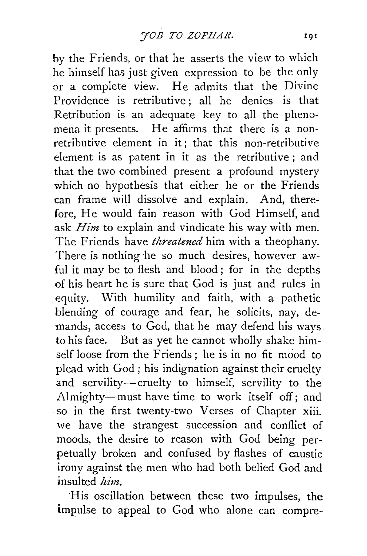by the Friends, or that he asserts the view to which he himself has just given expression to be the only or a complete view. He admits that the Divine Providence is retributive; all he denies is that Retribution is an adequate key to all the phenomena it presents. He affirms that there is a nonretributive element in it; that this non-retributive element is as patent in it as the retributive ; and that the two combined present a profound mystery which no hypothesis that either he or the Friends can frame will dissolve and explain. And, therefore, He would fain reason with God Himself, and ask *Him* to explain and vindicate his way with men. The Friends have *threatened* him with a theophany. There is nothing he so much desires, however awful it may be to flesh and blood ; for in the depths of his heart he is sure that God is just and rules in equity. With humility and faith, with a pathetic blending of courage and fear, he solicits, nay, demands, access to God, that he may defend his ways to his face. But as yet he cannot wholly shake himself loose from the Friends; he is in no fit mood to plead with God ; his indignation against their cruelty and servility-cruelty to himself, servility to the Almighty-must have time to work itself off; and . so in the first twenty-two Verses of Chapter xiii. we have the strangest succession and conflict of moods, the desire to reason with God being perpetually broken and confused by flashes of caustic irony against the men who had both belied God and insulted *him.* 

His oscillation between these two impulses, the impulse to appeal to God who alone can compre-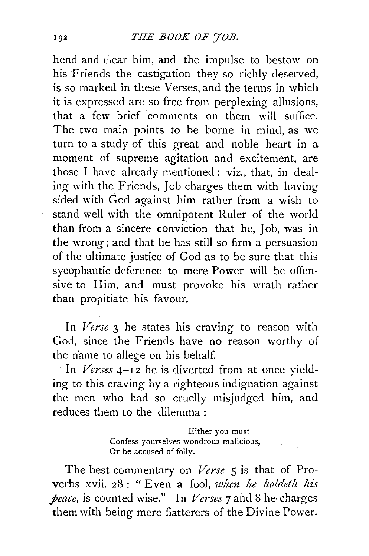### **THE BOOK OF FOB.**

bend and ciear him, and the impulse to bestow on his Friends the castigation they so richly deserved, is so marked in these Verses, and the terms in which it is expressed are so free from perplexing allusions, that a few brief comments on them will suffice. The two main points to be borne in mind, as we turn to a study of this great and noble heart in a moment of supreme agitation and excitement, are those I have already mentioned: viz., that, in dealing with the Friends, Job charges them with having sided with God against him rather from a wish to stand well with the omnipotent Ruler of the world than from a sincere conviction that he, Job, was in the wrong ; and that he has still so firm a persuasion of the ultimate justice of God as to be sure that this sycophantic deference to mere Power will be offensive to Him, and must provoke his wrath rather than propitiate his favour.

In *Verse* 3 he states his craving to reason with God, since the Friends have no reason worthy of the name to allege on his behalf.

In *Verses* 4-12 he is diverted from at once yielding to this craving by a righteous indignation against the men who had so cruelly misjudged him, and reduces them to the dilemma :

> Either you must Confess yourselves wondrou3 malicious, Or be accused of folly.

The best commentary on *Verse* 5 is that of Proverbs xvii. 28 : "Even a fool, *when he holdeth his peace,* is counted wise." In *Verses* 7 and 8 he charges them with being mere flatterers of the Divine Power.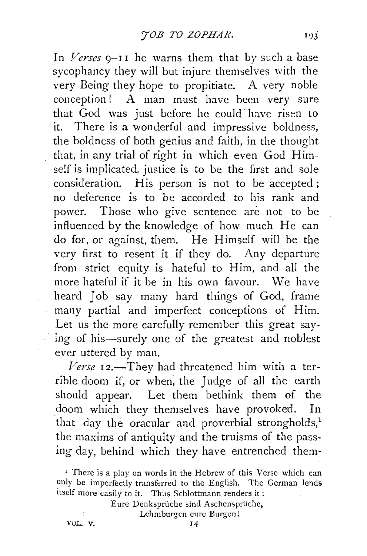In *Verses*  $9-11$  he warns them that by such a base sycophancy they will but injure themselves with the very Being they hope to propitiate. A very noble conception! A man must have been very sure that God was just before he could· have risen to it. There is a wonderful and impressive boldness, the boldness of both genius and faith, in the thought that, in any trial of right in which even God Himself is implicated, justice is to be the first and sole consideration. His person is not to be accepted; no deference is to be accorded to his rank and power. Those who give sentence are not to be influenced by the knowledge of how much He can do for, or against, them. He Himself will be the very first to resent it if they do. Any departure from strict equity is hateful to Him, and all the more hateful if it be in his own favour. We have heard Job say many hard things of God, frame many partial and imperfect conceptions of Him. Let us the more carefully remember this great saying of his-surely one of the greatest and noblest ever uttered by man.

Verse 12.-They had threatened him with a terrible doom if, or when, the Judge of all the earth should appear. Let them bethink them of the doom which they themselves have provoked. In that day the oracular and proverbial strongholds, $<sup>1</sup>$ </sup> the maxims of antiquity and the truisms of the passing day, behind which they have entrenched them-

Eure Denkspriiche sind Aschenspriiche,

Lehmburgen eure Burgen!

VOL. V. 14

<sup>&#</sup>x27; There is a play on words in the Hebrew of this Verse which can only be imperfectly transferred to the English. The German lends itself more easily to it. Thus Schlottmann renders it: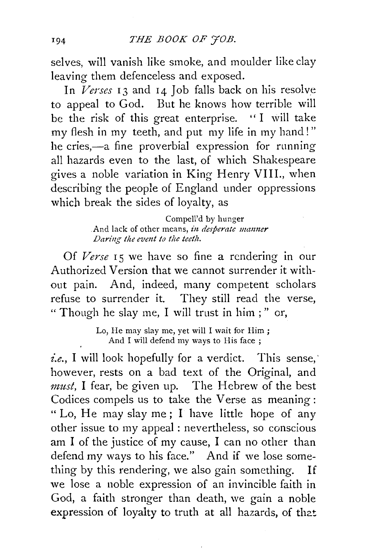selves, will vanish like smoke, and moulder like clay leaving them defenceless and exposed.

In *Verses* 13 and 14 Job falls back on his resolve to appeal to God. But he knows how terrible will be the risk of this great enterprise. "I will take my flesh in my teeth, and put my life in my hand! " he cries,-a fine proverbial expression for running all hazards even to the last, of which Shakespeare gives a noble variation in King Henry VIII., when describing the people of England under oppressions which break the sides of loyalty, as

> Compell'd by hunger . And lack of other means, in *desperate manner Daring tile event to the teetlz.*

Of Verse 15 we have so fine a rendering in our Authorized Version that we cannot surrender it without pain. And, indeed, many competent scholars refuse to surrender it. They still read the verse, " Though he slay me, I will trust in him ; " or,

> Lo, He may slay me, yet will I wait for Him ; And I will defend my ways to His face ;

i.e., I will look hopefully for a verdict. This sense, however, rests on a bad text of the Original, and *must,* I fear, be given up. The Hebrew of the best Codices compels us to take the Verse as meaning: "Lo, He may slay me; I have little hope of any other issue to my appeal : nevertheless, so conscious am I of the justice of my cause, I can no other than defend my ways to his face." And if we lose something by this rendering, we also gain something. If we lose a noble expression of an invincible faith in God, a faith stronger than death, we gain a noble expression of loyalty to truth at all hazards, of that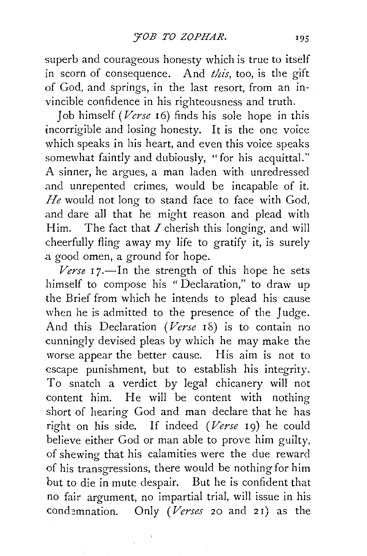superb and courageous honesty which is true to itself in scorn of consequence. And *this*, too, is the gift of God, and springs, in the last resort, from an invincible confidence in his righteousness and truth.

Job himself *(Verse* 16) finds his sole hope in this incorrigible and losing honesty. It is the one voice which speaks in his heart, and even this voice speaks somewhat faintly and dubiously, "for his acquittal." A sinner, he argues, a man laden with unredressed and unrepented crimes, would be incapable of it. *He* would not long to stand face to face with God, and dare all that he might reason and plead with Him. The fact that  $I$  cherish this longing, and will cheerfully fling away my life to gratify it, is surely a good omen, a ground for hope.

 $V$ erse  $17$ —In the strength of this hope he sets himself to compose his "Declaration," to draw up the Brief from which he intends to plead his cause when he is admitted to the presence of the Judge. And this Declaration *(Verse* 18) is to contain no cunningly devised pleas by which he may make the worse appear the better cause. His aim is not to escape punishment, but to establish his integrity. To snatch a verdict by legal chicanery will not content him. He will be content with nothing short of hearing God and man declare that he has right on his side. If indeed *(Verse* 19) he could believe either God or man able to prove him guilty, of shewing that his calamities were the due reward of his transgressions, there would be nothing for him but to die in mute despair. But he is confident that no fair argument, no impartial trial, will issue in his cond=mnation. Only *(Verses* 20 and 2 I) as the